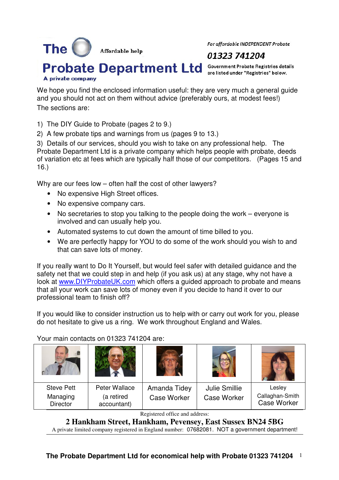Affordable help

For affordable INDEPENDENT Probate

# 01323 741204

**Probate Department Ltd** Government Probate Registries details are listed under "Registries" below.

A private company

The  $\Box$ 

We hope you find the enclosed information useful: they are very much a general quide and you should not act on them without advice (preferably ours, at modest fees!) The sections are:

1) The DIY Guide to Probate (pages 2 to 9.)

2) A few probate tips and warnings from us (pages 9 to 13.)

3) Details of our services, should you wish to take on any professional help. The Probate Department Ltd is a private company which helps people with probate, deeds of variation etc at fees which are typically half those of our competitors. (Pages 15 and 16.)

Why are our fees low – often half the cost of other lawyers?

- No expensive High Street offices.
- No expensive company cars.
- No secretaries to stop you talking to the people doing the work everyone is involved and can usually help you.
- Automated systems to cut down the amount of time billed to you.
- We are perfectly happy for YOU to do some of the work should you wish to and that can save lots of money.

If you really want to Do It Yourself, but would feel safer with detailed guidance and the safety net that we could step in and help (if you ask us) at any stage, why not have a look at www.DIYProbateUK.com which offers a guided approach to probate and means that all your work can save lots of money even if you decide to hand it over to our professional team to finish off?

If you would like to consider instruction us to help with or carry out work for you, please do not hesitate to give us a ring. We work throughout England and Wales.

Your main contacts on 01323 741204 are:

| <b>Steve Pett</b><br>Managing<br>Director | Peter Wallace<br>(a retired<br>accountant) | Amanda Tidey<br><b>Case Worker</b> | <b>Julie Smillie</b><br><b>Case Worker</b> | Lesley<br>Callaghan-Smith<br><b>Case Worker</b> |
|-------------------------------------------|--------------------------------------------|------------------------------------|--------------------------------------------|-------------------------------------------------|

Registered office and address:

**2 Hankham Street, Hankham, Pevensey, East Sussex BN24 5BG** 

A private limited company registered in England number: 07682081. NOT a government department!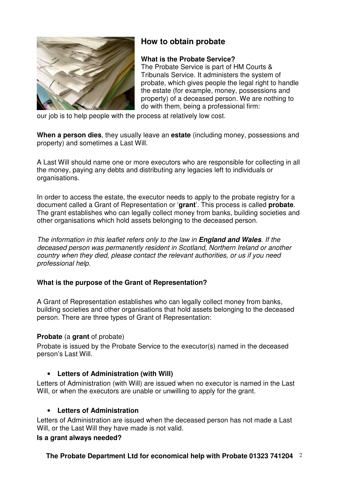

# **How to obtain probate**

# **What is the Probate Service?**

The Probate Service is part of HM Courts & Tribunals Service. It administers the system of probate, which gives people the legal right to handle the estate (for example, money, possessions and property) of a deceased person. We are nothing to do with them, being a professional firm:

our job is to help people with the process at relatively low cost.

**When a person dies**, they usually leave an **estate** (including money, possessions and property) and sometimes a Last Will.

A Last Will should name one or more executors who are responsible for collecting in all the money, paying any debts and distributing any legacies left to individuals or organisations.

In order to access the estate, the executor needs to apply to the probate registry for a document called a Grant of Representation or '**grant**'. This process is called **probate**. The grant establishes who can legally collect money from banks, building societies and other organisations which hold assets belonging to the deceased person.

The information in this leaflet refers only to the law in **England and Wales**. If the deceased person was permanently resident in Scotland, Northern Ireland or another country when they died, please contact the relevant authorities, or us if you need professional help.

# **What is the purpose of the Grant of Representation?**

A Grant of Representation establishes who can legally collect money from banks, building societies and other organisations that hold assets belonging to the deceased person. There are three types of Grant of Representation:

# **Probate** (a **grant** of probate)

Probate is issued by the Probate Service to the executor(s) named in the deceased person's Last Will.

# • **Letters of Administration (with Will)**

Letters of Administration (with Will) are issued when no executor is named in the Last Will, or when the executors are unable or unwilling to apply for the grant.

# • **Letters of Administration**

Letters of Administration are issued when the deceased person has not made a Last Will, or the Last Will they have made is not valid.

# **Is a grant always needed?**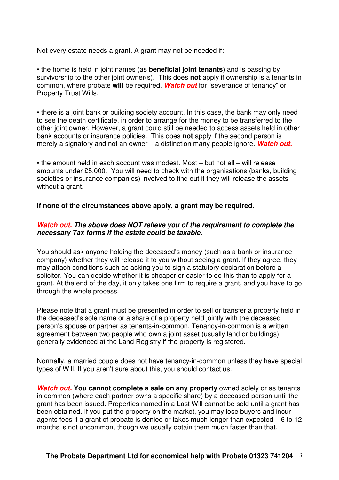Not every estate needs a grant. A grant may not be needed if:

• the home is held in joint names (as **beneficial joint tenants**) and is passing by survivorship to the other joint owner(s). This does **not** apply if ownership is a tenants in common, where probate **will** be required. **Watch out** for "severance of tenancy" or Property Trust Wills.

• there is a joint bank or building society account. In this case, the bank may only need to see the death certificate, in order to arrange for the money to be transferred to the other joint owner. However, a grant could still be needed to access assets held in other bank accounts or insurance policies. This does **not** apply if the second person is merely a signatory and not an owner – a distinction many people ignore. **Watch out.**

• the amount held in each account was modest. Most – but not all – will release amounts under £5,000. You will need to check with the organisations (banks, building societies or insurance companies) involved to find out if they will release the assets without a grant.

# **If none of the circumstances above apply, a grant may be required.**

# **Watch out. The above does NOT relieve you of the requirement to complete the necessary Tax forms if the estate could be taxable.**

You should ask anyone holding the deceased's money (such as a bank or insurance company) whether they will release it to you without seeing a grant. If they agree, they may attach conditions such as asking you to sign a statutory declaration before a solicitor. You can decide whether it is cheaper or easier to do this than to apply for a grant. At the end of the day, it only takes one firm to require a grant, and you have to go through the whole process.

Please note that a grant must be presented in order to sell or transfer a property held in the deceased's sole name or a share of a property held jointly with the deceased person's spouse or partner as tenants-in-common. Tenancy-in-common is a written agreement between two people who own a joint asset (usually land or buildings) generally evidenced at the Land Registry if the property is registered.

Normally, a married couple does not have tenancy-in-common unless they have special types of Will. If you aren't sure about this, you should contact us.

**Watch out. You cannot complete a sale on any property** owned solely or as tenants in common (where each partner owns a specific share) by a deceased person until the grant has been issued. Properties named in a Last Will cannot be sold until a grant has been obtained. If you put the property on the market, you may lose buyers and incur agents fees if a grant of probate is denied or takes much longer than expected – 6 to 12 months is not uncommon, though we usually obtain them much faster than that.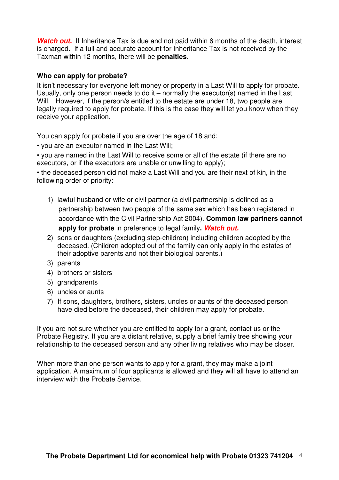**Watch out.** If Inheritance Tax is due and not paid within 6 months of the death, interest is charged**.** If a full and accurate account for Inheritance Tax is not received by the Taxman within 12 months, there will be **penalties**.

# **Who can apply for probate?**

It isn't necessary for everyone left money or property in a Last Will to apply for probate. Usually, only one person needs to do it – normally the executor(s) named in the Last Will. However, if the person/s entitled to the estate are under 18, two people are legally required to apply for probate. If this is the case they will let you know when they receive your application.

You can apply for probate if you are over the age of 18 and:

• you are an executor named in the Last Will;

• you are named in the Last Will to receive some or all of the estate (if there are no executors, or if the executors are unable or unwilling to apply);

• the deceased person did not make a Last Will and you are their next of kin, in the following order of priority:

- 1) lawful husband or wife or civil partner (a civil partnership is defined as a partnership between two people of the same sex which has been registered in accordance with the Civil Partnership Act 2004). **Common law partners cannot apply for probate** in preference to legal family**. Watch out.**
- 2) sons or daughters (excluding step-children) including children adopted by the deceased. (Children adopted out of the family can only apply in the estates of their adoptive parents and not their biological parents.)
- 3) parents
- 4) brothers or sisters
- 5) grandparents
- 6) uncles or aunts
- 7) If sons, daughters, brothers, sisters, uncles or aunts of the deceased person have died before the deceased, their children may apply for probate.

If you are not sure whether you are entitled to apply for a grant, contact us or the Probate Registry. If you are a distant relative, supply a brief family tree showing your relationship to the deceased person and any other living relatives who may be closer.

When more than one person wants to apply for a grant, they may make a joint application. A maximum of four applicants is allowed and they will all have to attend an interview with the Probate Service.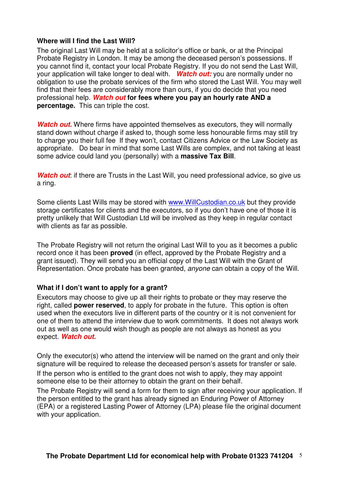# **Where will I find the Last Will?**

The original Last Will may be held at a solicitor's office or bank, or at the Principal Probate Registry in London. It may be among the deceased person's possessions. If you cannot find it, contact your local Probate Registry. If you do not send the Last Will, your application will take longer to deal with. **Watch out:** you are normally under no obligation to use the probate services of the firm who stored the Last Will. You may well find that their fees are considerably more than ours, if you do decide that you need professional help. **Watch out for fees where you pay an hourly rate AND a percentage.** This can triple the cost.

**Watch out.** Where firms have appointed themselves as executors, they will normally stand down without charge if asked to, though some less honourable firms may still try to charge you their full fee If they won't, contact Citizens Advice or the Law Society as appropriate. Do bear in mind that some Last Wills are complex, and not taking at least some advice could land you (personally) with a **massive Tax Bill**.

Watch out: if there are Trusts in the Last Will, you need professional advice, so give us a ring.

Some clients Last Wills may be stored with www.WillCustodian.co.uk but they provide storage certificates for clients and the executors, so if you don't have one of those it is pretty unlikely that Will Custodian Ltd will be involved as they keep in regular contact with clients as far as possible.

The Probate Registry will not return the original Last Will to you as it becomes a public record once it has been **proved** (in effect, approved by the Probate Registry and a grant issued). They will send you an official copy of the Last Will with the Grant of Representation. Once probate has been granted, *anyone* can obtain a copy of the Will.

#### **What if I don't want to apply for a grant?**

Executors may choose to give up all their rights to probate or they may reserve the right, called **power reserved**, to apply for probate in the future. This option is often used when the executors live in different parts of the country or it is not convenient for one of them to attend the interview due to work commitments. It does not always work out as well as one would wish though as people are not always as honest as you expect. **Watch out.**

Only the executor(s) who attend the interview will be named on the grant and only their signature will be required to release the deceased person's assets for transfer or sale. If the person who is entitled to the grant does not wish to apply, they may appoint someone else to be their attorney to obtain the grant on their behalf.

The Probate Registry will send a form for them to sign after receiving your application. If the person entitled to the grant has already signed an Enduring Power of Attorney (EPA) or a registered Lasting Power of Attorney (LPA) please file the original document with your application.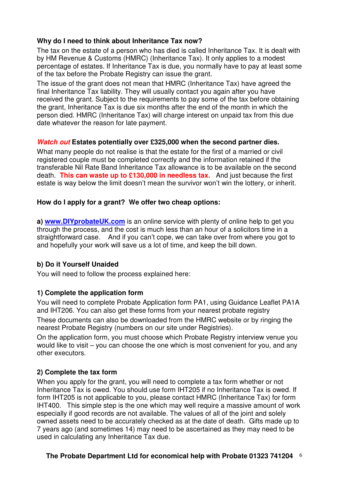# **Why do I need to think about Inheritance Tax now?**

The tax on the estate of a person who has died is called Inheritance Tax. It is dealt with by HM Revenue & Customs (HMRC) (Inheritance Tax). It only applies to a modest percentage of estates. If Inheritance Tax is due, you normally have to pay at least some of the tax before the Probate Registry can issue the grant.

The issue of the grant does not mean that HMRC (Inheritance Tax) have agreed the final Inheritance Tax liability. They will usually contact you again after you have received the grant. Subject to the requirements to pay some of the tax before obtaining the grant, Inheritance Tax is due six months after the end of the month in which the person died. HMRC (Inheritance Tax) will charge interest on unpaid tax from this due date whatever the reason for late payment.

# **Watch out Estates potentially over £325,000 when the second partner dies.**

What many people do not realise is that the estate for the first of a married or civil registered couple must be completed correctly and the information retained if the transferable Nil Rate Band Inheritance Tax allowance is to be available on the second death. **This can waste up to £130,000 in needless tax.** And just because the first estate is way below the limit doesn't mean the survivor won't win the lottery, or inherit.

# **How do I apply for a grant? We offer two cheap options:**

**a) www.DIYprobateUK.com** is an online service with plenty of online help to get you through the process, and the cost is much less than an hour of a solicitors time in a straightforward case. And if you can't cope, we can take over from where you got to and hopefully your work will save us a lot of time, and keep the bill down.

# **b) Do it Yourself Unaided**

You will need to follow the process explained here:

# **1) Complete the application form**

You will need to complete Probate Application form PA1, using Guidance Leaflet PA1A and IHT206. You can also get these forms from your nearest probate registry These documents can also be downloaded from the HMRC website or by ringing the nearest Probate Registry (numbers on our site under Registries).

On the application form, you must choose which Probate Registry interview venue you would like to visit – you can choose the one which is most convenient for you, and any other executors.

# **2) Complete the tax form**

When you apply for the grant, you will need to complete a tax form whether or not Inheritance Tax is owed. You should use form IHT205 if no Inheritance Tax is owed. If form IHT205 is not applicable to you, please contact HMRC (Inheritance Tax) for form IHT400. This simple step is the one which may well require a massive amount of work especially if good records are not available. The values of all of the joint and solely owned assets need to be accurately checked as at the date of death. Gifts made up to 7 years ago (and sometimes 14) may need to be ascertained as they may need to be used in calculating any Inheritance Tax due.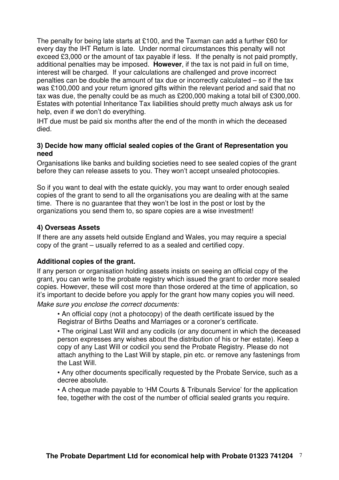The penalty for being late starts at £100, and the Taxman can add a further £60 for every day the IHT Return is late. Under normal circumstances this penalty will not exceed £3,000 or the amount of tax payable if less. If the penalty is not paid promptly, additional penalties may be imposed. **However**, if the tax is not paid in full on time, interest will be charged. If your calculations are challenged and prove incorrect penalties can be double the amount of tax due or incorrectly calculated – so if the tax was £100,000 and your return ignored gifts within the relevant period and said that no tax was due, the penalty could be as much as £200,000 making a total bill of £300,000. Estates with potential Inheritance Tax liabilities should pretty much always ask us for help, even if we don't do everything.

IHT due must be paid six months after the end of the month in which the deceased died.

# **3) Decide how many official sealed copies of the Grant of Representation you need**

Organisations like banks and building societies need to see sealed copies of the grant before they can release assets to you. They won't accept unsealed photocopies.

So if you want to deal with the estate quickly, you may want to order enough sealed copies of the grant to send to all the organisations you are dealing with at the same time. There is no guarantee that they won't be lost in the post or lost by the organizations you send them to, so spare copies are a wise investment!

# **4) Overseas Assets**

If there are any assets held outside England and Wales, you may require a special copy of the grant – usually referred to as a sealed and certified copy.

# **Additional copies of the grant.**

If any person or organisation holding assets insists on seeing an official copy of the grant, you can write to the probate registry which issued the grant to order more sealed copies. However, these will cost more than those ordered at the time of application, so it's important to decide before you apply for the grant how many copies you will need.

Make sure you enclose the correct documents:

• An official copy (not a photocopy) of the death certificate issued by the Registrar of Births Deaths and Marriages or a coroner's certificate.

• The original Last Will and any codicils (or any document in which the deceased person expresses any wishes about the distribution of his or her estate). Keep a copy of any Last Will or codicil you send the Probate Registry. Please do not attach anything to the Last Will by staple, pin etc. or remove any fastenings from the Last Will.

• Any other documents specifically requested by the Probate Service, such as a decree absolute.

• A cheque made payable to 'HM Courts & Tribunals Service' for the application fee, together with the cost of the number of official sealed grants you require.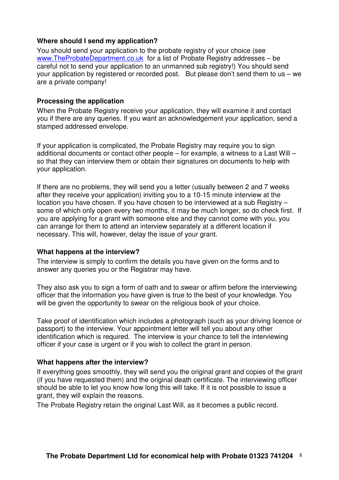# **Where should I send my application?**

You should send your application to the probate registry of your choice (see www.TheProbateDepartment.co.uk for a list of Probate Registry addresses – be careful not to send your application to an unmanned sub registry!) You should send your application by registered or recorded post. But please don't send them to us – we are a private company!

# **Processing the application**

When the Probate Registry receive your application, they will examine it and contact you if there are any queries. If you want an acknowledgement your application, send a stamped addressed envelope.

If your application is complicated, the Probate Registry may require you to sign additional documents or contact other people – for example, a witness to a Last Will – so that they can interview them or obtain their signatures on documents to help with your application.

If there are no problems, they will send you a letter (usually between 2 and 7 weeks after they receive your application) inviting you to a 10-15 minute interview at the location you have chosen. If you have chosen to be interviewed at a sub Registry – some of which only open every two months, it may be much longer, so do check first. If you are applying for a grant with someone else and they cannot come with you, you can arrange for them to attend an interview separately at a different location if necessary. This will, however, delay the issue of your grant.

# **What happens at the interview?**

The interview is simply to confirm the details you have given on the forms and to answer any queries you or the Registrar may have.

They also ask you to sign a form of oath and to swear or affirm before the interviewing officer that the information you have given is true to the best of your knowledge. You will be given the opportunity to swear on the religious book of your choice.

Take proof of identification which includes a photograph (such as your driving licence or passport) to the interview. Your appointment letter will tell you about any other identification which is required. The interview is your chance to tell the interviewing officer if your case is urgent or if you wish to collect the grant in person.

# **What happens after the interview?**

If everything goes smoothly, they will send you the original grant and copies of the grant (if you have requested them) and the original death certificate. The interviewing officer should be able to let you know how long this will take. If it is not possible to issue a grant, they will explain the reasons.

The Probate Registry retain the original Last Will, as it becomes a public record.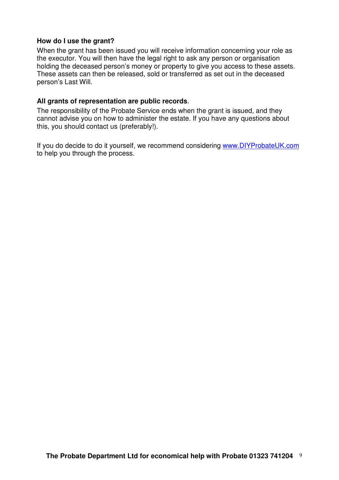# **How do I use the grant?**

When the grant has been issued you will receive information concerning your role as the executor. You will then have the legal right to ask any person or organisation holding the deceased person's money or property to give you access to these assets. These assets can then be released, sold or transferred as set out in the deceased person's Last Will.

## **All grants of representation are public records**.

The responsibility of the Probate Service ends when the grant is issued, and they cannot advise you on how to administer the estate. If you have any questions about this, you should contact us (preferably!).

If you do decide to do it yourself, we recommend considering www.DIYProbateUK.com to help you through the process.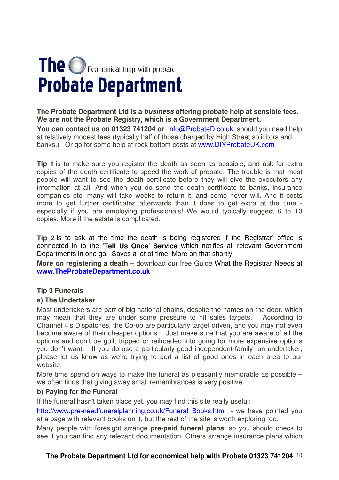# The **O** Economical help with probate **Probate Department**

**The Probate Department Ltd is a business offering probate help at sensible fees. We are not the Probate Registry, which is a Government Department. You can contact us on 01323 741204 or** info@ProbateD.co.ukshould you need help at relatively modest fees (typically half of those charged by High Street solicitors and banks.) Or go for some help at rock bottom costs at www.DIYProbateUK.com

**Tip 1** is to make sure you register the death as soon as possible, and ask for extra copies of the death certificate to speed the work of probate. The trouble is that most people will want to see the death certificate before they will give the executors any information at all. And when you do send the death certificate to banks, insurance companies etc, many will take weeks to return it, and some never will. And it costs more to get further certificates afterwards than it does to get extra at the time especially if you are employing professionals! We would typically suggest 6 to 10 copies. More if the estate is complicated.

**Tip 2** is to ask at the time the death is being registered if the Registrar' office is connected in to the **'Tell Us Once' Service** which notifies all relevant Government Departments in one go. Saves a lot of time. More on that shortly.

**More on registering a death** – download our free Guide What the Registrar Needs at **www.TheProbateDepartment.co.uk**

# **Tip 3 Funerals**

# **a) The Undertaker**

Most undertakers are part of big national chains, despite the names on the door. which may mean that they are under some pressure to hit sales targets. According to Channel 4's Dispatches, the Co-op are particularly target driven, and you may not even become aware of their cheaper options. Just make sure that you are aware of all the options and don't be guilt tripped or railroaded into going for more expensive options you don't want. If you do use a particularly good independent family run undertaker, please let us know as we're trying to add a list of good ones in each area to our website.

More time spend on ways to make the funeral as pleasantly memorable as possible – we often finds that giving away small remembrances is very positive.

# **b) Paying for the Funeral**

If the funeral hasn't taken place yet, you may find this site really useful:

http://www.pre-needfuneralplanning.co.uk/Funeral\_Books.html - we have pointed you at a page with relevant books on it, but the rest of the site is worth exploring too.

Many people with foresight arrange **pre-paid funeral plans**, so you should check to see if you can find any relevant documentation. Others arrange insurance plans which

# **The Probate Department Ltd for economical help with Probate 01323 741204** 10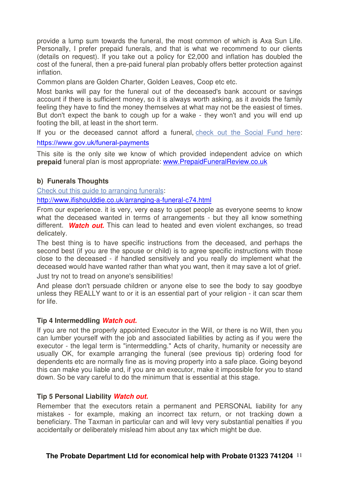provide a lump sum towards the funeral, the most common of which is Axa Sun Life. Personally, I prefer prepaid funerals, and that is what we recommend to our clients (details on request). If you take out a policy for £2,000 and inflation has doubled the cost of the funeral, then a pre-paid funeral plan probably offers better protection against inflation.

Common plans are Golden Charter, Golden Leaves, Coop etc etc.

Most banks will pay for the funeral out of the deceased's bank account or savings account if there is sufficient money, so it is always worth asking, as it avoids the family feeling they have to find the money themselves at what may not be the easiest of times. But don't expect the bank to cough up for a wake - they won't and you will end up footing the bill, at least in the short term.

If you or the deceased cannot afford a funeral, check out the Social Fund here: https://www.gov.uk/funeral-payments

This site is the only site we know of which provided independent advice on which **prepaid** funeral plan is most appropriate: www.PrepaidFuneralReview.co.uk

# **b) Funerals Thoughts**

Check out this quide to arranging funerals:

http://www.ifishoulddie.co.uk/arranging-a-funeral-c74.html

From our experience. it is very, very easy to upset people as everyone seems to know what the deceased wanted in terms of arrangements - but they all know something different. **Watch out.** This can lead to heated and even violent exchanges, so tread delicately.

The best thing is to have specific instructions from the deceased, and perhaps the second best (if you are the spouse or child) is to agree specific instructions with those close to the deceased - if handled sensitively and you really do implement what the deceased would have wanted rather than what you want, then it may save a lot of grief.

Just try not to tread on anyone's sensibilities!

And please don't persuade children or anyone else to see the body to say goodbye unless they REALLY want to or it is an essential part of your religion - it can scar them for life.

#### **Tip 4 Intermeddling Watch out.**

If you are not the properly appointed Executor in the Will, or there is no Will, then you can lumber yourself with the job and associated liabilities by acting as if you were the executor - the legal term is "intermeddling." Acts of charity, humanity or necessity are usually OK, for example arranging the funeral (see previous tip) ordering food for dependents etc are normally fine as is moving property into a safe place. Going beyond this can make you liable and, if you are an executor, make it impossible for you to stand down. So be vary careful to do the minimum that is essential at this stage.

# **Tip 5 Personal Liability Watch out.**

Remember that the executors retain a permanent and PERSONAL liability for any mistakes - for example, making an incorrect tax return, or not tracking down a beneficiary. The Taxman in particular can and will levy very substantial penalties if you accidentally or deliberately mislead him about any tax which might be due.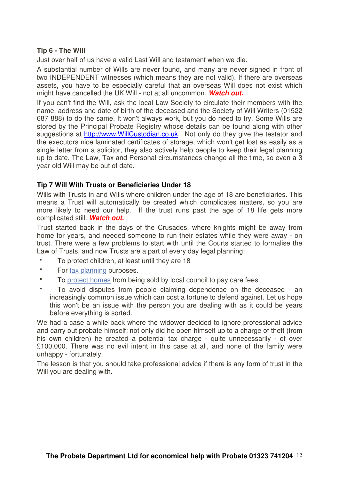# **Tip 6 - The Will**

Just over half of us have a valid Last Will and testament when we die.

A substantial number of Wills are never found, and many are never signed in front of two INDEPENDENT witnesses (which means they are not valid). If there are overseas assets, you have to be especially careful that an overseas Will does not exist which might have cancelled the UK Will - not at all uncommon. **Watch out.**

If you can't find the Will, ask the local Law Society to circulate their members with the name, address and date of birth of the deceased and the Society of Will Writers (01522 687 888) to do the same. It won't always work, but you do need to try. Some Wills are stored by the Principal Probate Registry whose details can be found along with other suggestions at http://www.WillCustodian.co.uk. Not only do they give the testator and the executors nice laminated certificates of storage, which won't get lost as easily as a single letter from a solicitor, they also actively help people to keep their legal planning up to date. The Law, Tax and Personal circumstances change all the time, so even a 3 year old Will may be out of date.

# **Tip 7 Will With Trusts or Beneficiaries Under 18**

Wills with Trusts in and Wills where children under the age of 18 are beneficiaries. This means a Trust will automatically be created which complicates matters, so you are more likely to need our help. If the trust runs past the age of 18 life gets more complicated still. **Watch out.**

Trust started back in the days of the Crusades, where knights might be away from home for years, and needed someone to run their estates while they were away - on trust. There were a few problems to start with until the Courts started to formalise the Law of Trusts, and now Trusts are a part of every day legal planning:

- To protect children, at least until they are 18
- **For tax planning purposes.**
- To protect homes from being sold by local council to pay care fees.
- To avoid disputes from people claiming dependence on the deceased an increasingly common issue which can cost a fortune to defend against. Let us hope this won't be an issue with the person you are dealing with as it could be years before everything is sorted.

We had a case a while back where the widower decided to ignore professional advice and carry out probate himself: not only did he open himself up to a charge of theft (from his own children) he created a potential tax charge - quite unnecessarily - of over £100,000. There was no evil intent in this case at all, and none of the family were unhappy - fortunately.

The lesson is that you should take professional advice if there is any form of trust in the Will you are dealing with.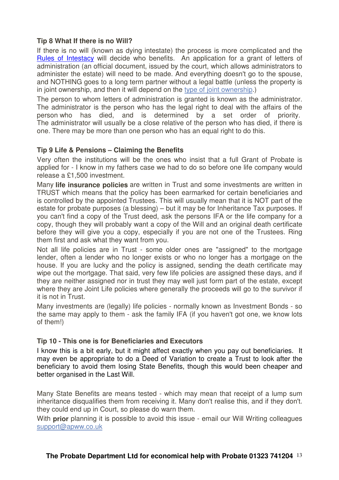# **Tip 8 What If there is no Will?**

If there is no will (known as dying intestate) the process is more complicated and the Rules of Intestacy will decide who benefits. An application for a grant of letters of administration (an official document, issued by the court, which allows administrators to administer the estate) will need to be made. And everything doesn't go to the spouse, and NOTHING goes to a long term partner without a legal battle (unless the property is in joint ownership, and then it will depend on the type of joint ownership.)

The person to whom letters of administration is granted is known as the administrator. The administrator is the person who has the legal right to deal with the affairs of the person who has died, and is determined by a set order of priority. The administrator will usually be a close relative of the person who has died, if there is one. There may be more than one person who has an equal right to do this.

# **Tip 9 Life & Pensions – Claiming the Benefits**

Very often the institutions will be the ones who insist that a full Grant of Probate is applied for - I know in my fathers case we had to do so before one life company would release a £1,500 investment.

Many **life insurance policies** are written in Trust and some investments are written in TRUST which means that the policy has been earmarked for certain beneficiaries and is controlled by the appointed Trustees. This will usually mean that it is NOT part of the estate for probate purposes (a blessing) – but it may be for Inheritance Tax purposes. If you can't find a copy of the Trust deed, ask the persons IFA or the life company for a copy, though they will probably want a copy of the Will and an original death certificate before they will give you a copy, especially if you are not one of the Trustees. Ring them first and ask what they want from you.

Not all life policies are in Trust - some older ones are "assigned" to the mortgage lender, often a lender who no longer exists or who no longer has a mortgage on the house. If you are lucky and the policy is assigned, sending the death certificate may wipe out the mortgage. That said, very few life policies are assigned these days, and if they are neither assigned nor in trust they may well just form part of the estate, except where they are Joint Life policies where generally the proceeds will go to the survivor if it is not in Trust.

Many investments are (legally) life policies - normally known as Investment Bonds - so the same may apply to them - ask the family IFA (if you haven't got one, we know lots of them!)

# **Tip 10 - This one is for Beneficiaries and Executors**

I know this is a bit early, but it might affect exactly when you pay out beneficiaries. It may even be appropriate to do a Deed of Variation to create a Trust to look after the beneficiary to avoid them losing State Benefits, though this would been cheaper and better organised in the Last Will.

Many State Benefits are means tested - which may mean that receipt of a lump sum inheritance disqualifies them from receiving it. Many don't realise this, and if they don't. they could end up in Court, so please do warn them.

With **prior** planning it is possible to avoid this issue - email our Will Writing colleagues support@apww.co.uk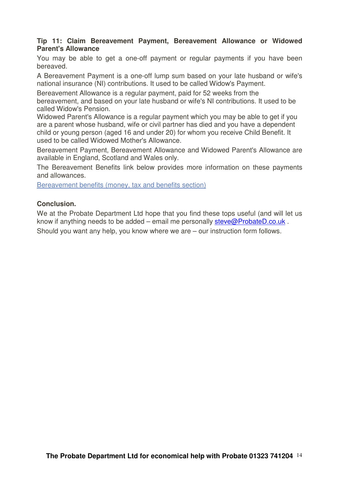# **Tip 11: Claim Bereavement Payment, Bereavement Allowance or Widowed Parent's Allowance**

You may be able to get a one-off payment or regular payments if you have been bereaved.

A Bereavement Payment is a one-off lump sum based on your late husband or wife's national insurance (NI) contributions. It used to be called Widow's Payment.

Bereavement Allowance is a regular payment, paid for 52 weeks from the bereavement, and based on your late husband or wife's NI contributions. It used to be called Widow's Pension.

Widowed Parent's Allowance is a regular payment which you may be able to get if you are a parent whose husband, wife or civil partner has died and you have a dependent child or young person (aged 16 and under 20) for whom you receive Child Benefit. It used to be called Widowed Mother's Allowance.

Bereavement Payment, Bereavement Allowance and Widowed Parent's Allowance are available in England, Scotland and Wales only.

The Bereavement Benefits link below provides more information on these payments and allowances.

Bereavement benefits (money, tax and benefits section)

# **Conclusion.**

We at the Probate Department Ltd hope that you find these tops useful (and will let us know if anything needs to be added – email me personally steve@ProbateD.co.uk . Should you want any help, you know where we are – our instruction form follows.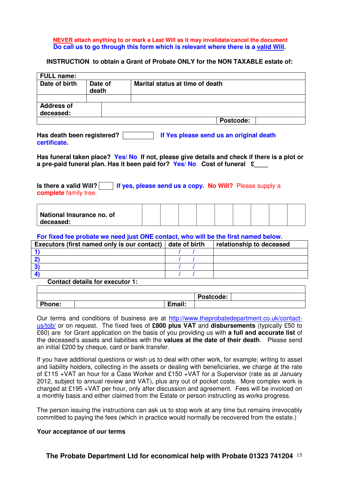#### **NEVER attach anything to or mark a Last Will as it may invalidate/cancel the document Do call us to go through this form which is relevant where there is a valid Will.**

#### **INSTRUCTION to obtain a Grant of Probate ONLY for the NON TAXABLE estate of:**

| Date of<br>death | Marital status at time of death |
|------------------|---------------------------------|
|                  |                                 |
|                  |                                 |
|                  | Postcode:                       |
|                  |                                 |

| Has death been registered? | If Yes please send us an original death |
|----------------------------|-----------------------------------------|
| certificate.               |                                         |

Has funeral taken place? Yes/ No If not, please give details and check if there is a plot or a pre-paid funeral plan. Has it been paid for? Yes/ No Cost of funeral £

**Is there a valid Will?** If yes, please send us a copy. No Will? Please supply a **complete** family tree.

| National Insurance no. of |  |  |  |  |  |
|---------------------------|--|--|--|--|--|
| deceased:                 |  |  |  |  |  |

#### **For fixed fee probate we need just ONE contact, who will be the first named below.**

| Executors (first named only is our contact) | date of birth | relationship to deceased |
|---------------------------------------------|---------------|--------------------------|
|                                             |               |                          |
|                                             |               |                          |
|                                             |               |                          |
|                                             |               |                          |

#### **Contact details for executor 1:**

|               |        | Postcode: |  |
|---------------|--------|-----------|--|
| <b>Phone:</b> | Email: |           |  |

Our terms and conditions of business are at http://www.theprobatedepartment.co.uk/contactus/tob/ or on request. The fixed fees of **£800 plus VAT** and **disbursements** (typically £50 to £60) are for Grant application on the basis of you providing us with **a full and accurate list** of the deceased's assets and liabilities with the **values at the date of their death**. Please send an initial £200 by cheque, card or bank transfer.

If you have additional questions or wish us to deal with other work, for example; writing to asset and liability holders, collecting in the assets or dealing with beneficiaries, we charge at the rate of £115 +VAT an hour for a Case Worker and £150 +VAT for a Supervisor (rate as at January 2012, subject to annual review and VAT), plus any out of pocket costs. More complex work is charged at £195 +VAT per hour, only after discussion and agreement. Fees will be invoiced on a monthly basis and either claimed from the Estate or person instructing as works progress.

The person issuing the instructions can ask us to stop work at any time but remains irrevocably committed to paying the fees (which in practice would normally be recovered from the estate.)

#### **Your acceptance of our terms**